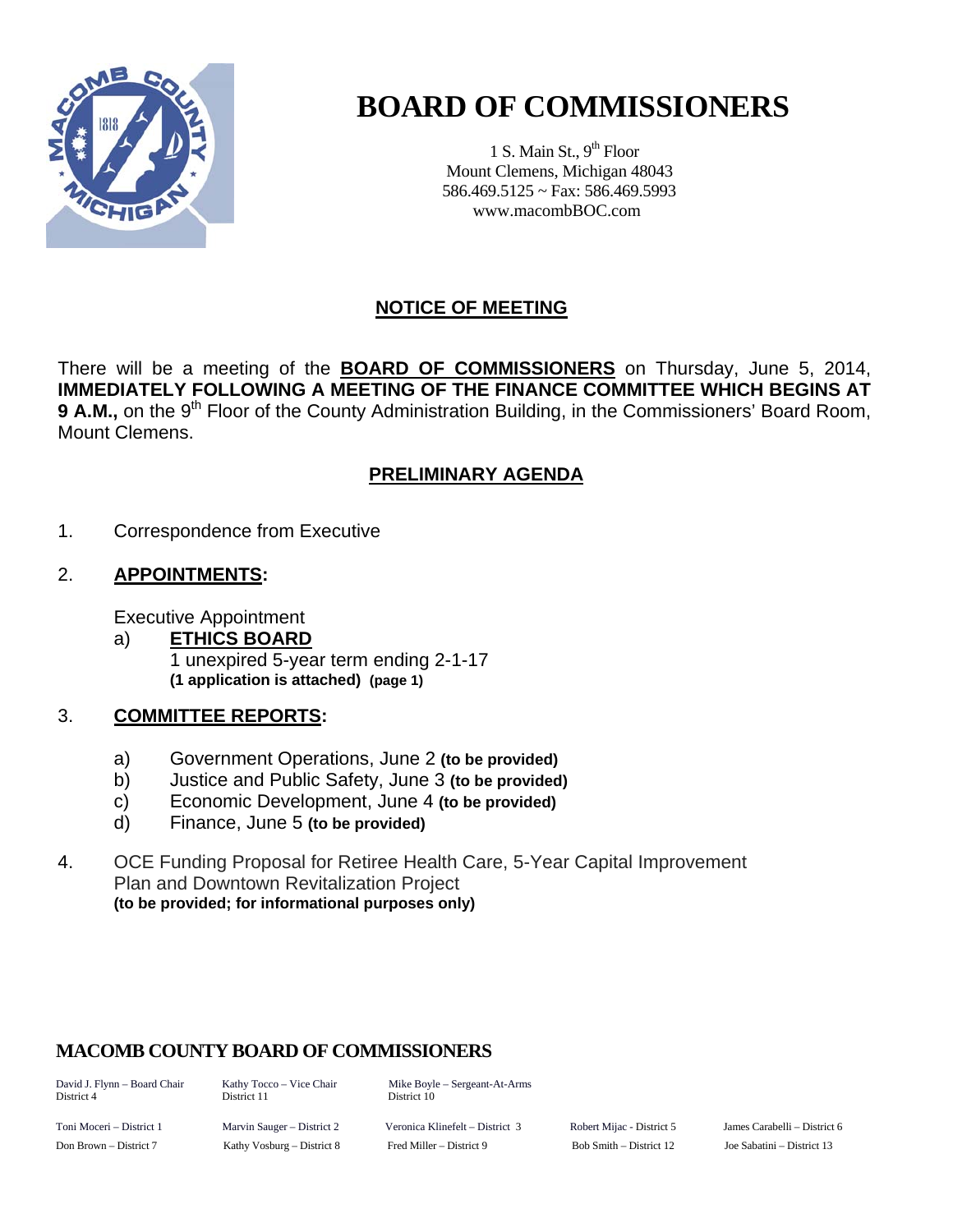

# **BOARD OF COMMISSIONERS**

1 S. Main St.,  $9<sup>th</sup>$  Floor Mount Clemens, Michigan 48043 586.469.5125 ~ Fax: 586.469.5993 www.macombBOC.com

## **NOTICE OF MEETING**

There will be a meeting of the **BOARD OF COMMISSIONERS** on Thursday, June 5, 2014, **IMMEDIATELY FOLLOWING A MEETING OF THE FINANCE COMMITTEE WHICH BEGINS AT**  9 A.M., on the 9<sup>th</sup> Floor of the County Administration Building, in the Commissioners' Board Room, Mount Clemens.

# **PRELIMINARY AGENDA**

1. Correspondence from Executive

#### 2. **APPOINTMENTS:**

Executive Appointment

 a) **ETHICS BOARD** 1 unexpired 5-year term ending 2-1-17  **(1 application is attached) (page 1)** 

#### 3. **COMMITTEE REPORTS:**

- a) Government Operations, June 2 **(to be provided)**
- b) Justice and Public Safety, June 3 **(to be provided)**
- c) Economic Development, June 4 **(to be provided)**
- d) Finance, June 5 **(to be provided)**
- 4. OCE Funding Proposal for Retiree Health Care, 5-Year Capital Improvement Plan and Downtown Revitalization Project **(to be provided; for informational purposes only)**

## **MACOMB COUNTY BOARD OF COMMISSIONERS**

District 4 District 11 District 10

David J. Flynn – Board Chair Kathy Tocco – Vice Chair Mike Boyle – Sergeant-At-Arms

Toni Moceri – District 1 Marvin Sauger – District 2 Veronica Klinefelt – District 3 Robert Mijac - District 5 James Carabelli – District 6 Don Brown – District 7 Kathy Vosburg – District 8 Fred Miller – District 9 Bob Smith – District 12 Joe Sabatini – District 13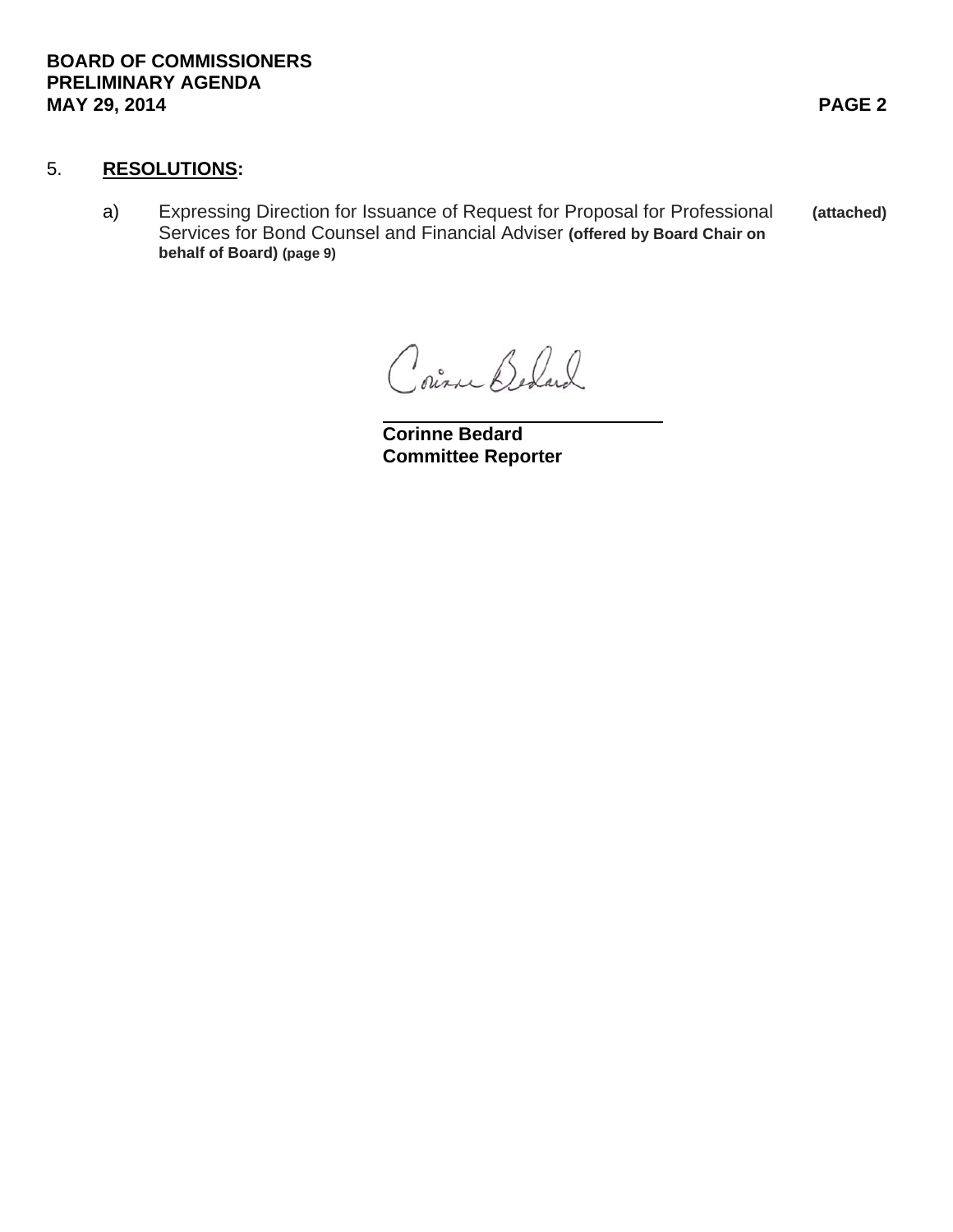#### 5. **RESOLUTIONS:**

a) Expressing Direction for Issuance of Request for Proposal for Professional **(attached)** Services for Bond Counsel and Financial Adviser **(offered by Board Chair on behalf of Board) (page 9)** 

Courne Behard

 **Corinne Bedard Committee Reporter**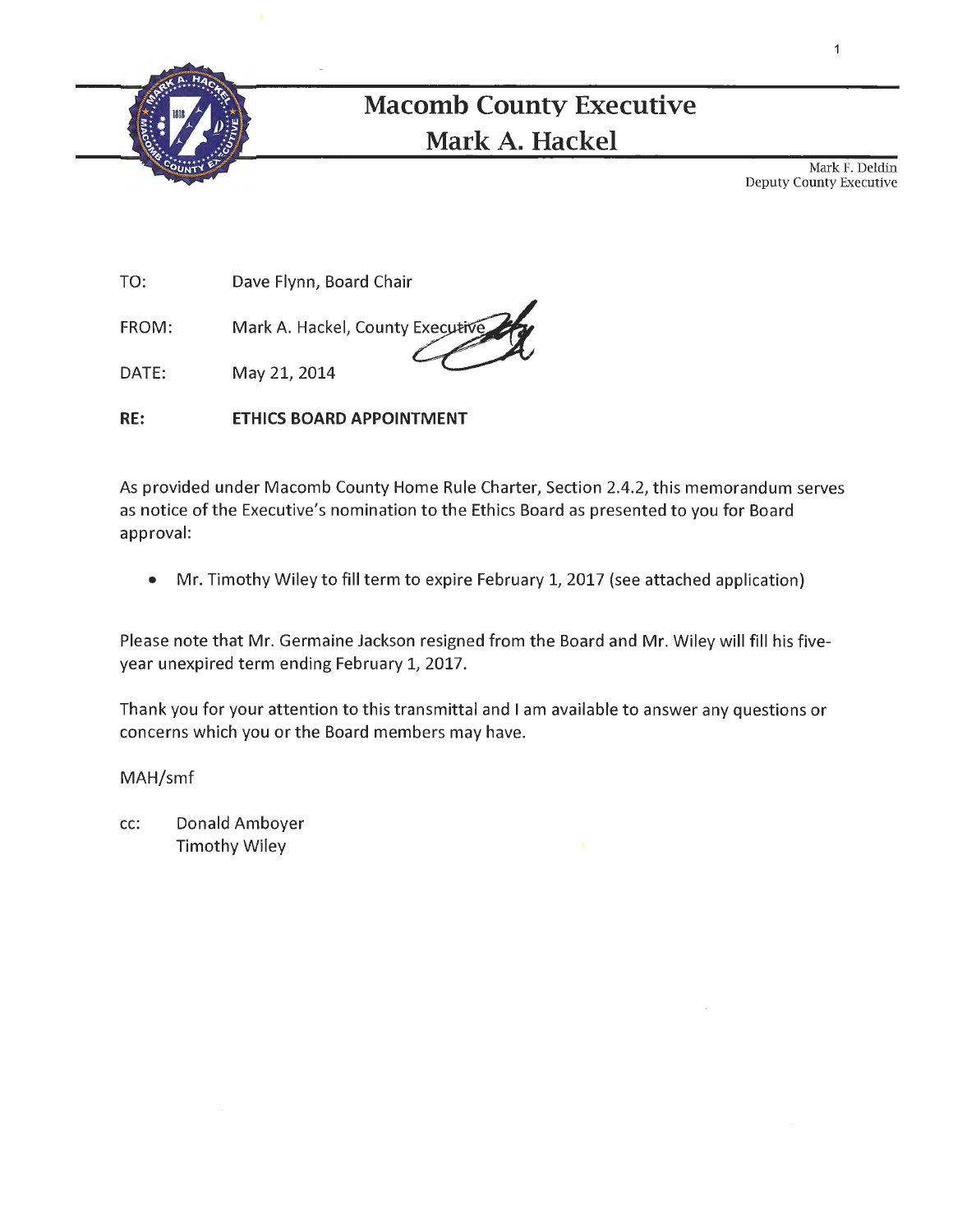

# **Macomb County Executive Mark A. Hackel**

Mark F. Deldin Deputy County Executive

TO: Dave Flynn, Board Chair

FROM: Mark A. Hackel, County~

DATE: May 21, 2014

**RE: ETHICS BOARD APPOINTMENT** 

As provided under Macomb County Home Rule Charter, Section 2.4.2, this memorandum serves as notice of the Executive's nomination to the Ethics Board as presented to you for Board approval:

• Mr. Timothy Wiley to fill term to expire February 1, 2017 (see attached application)

Please note that Mr. Germaine Jackson resigned from the Board and Mr. Wiley will fill his fiveyear unexpired term ending February 1, 2017.

Thank you for your attention to this transmittal and I am available to answer any questions or concerns which you or the Board members may have.

MAH/smf

cc: Donald Amboyer Timothy Wiley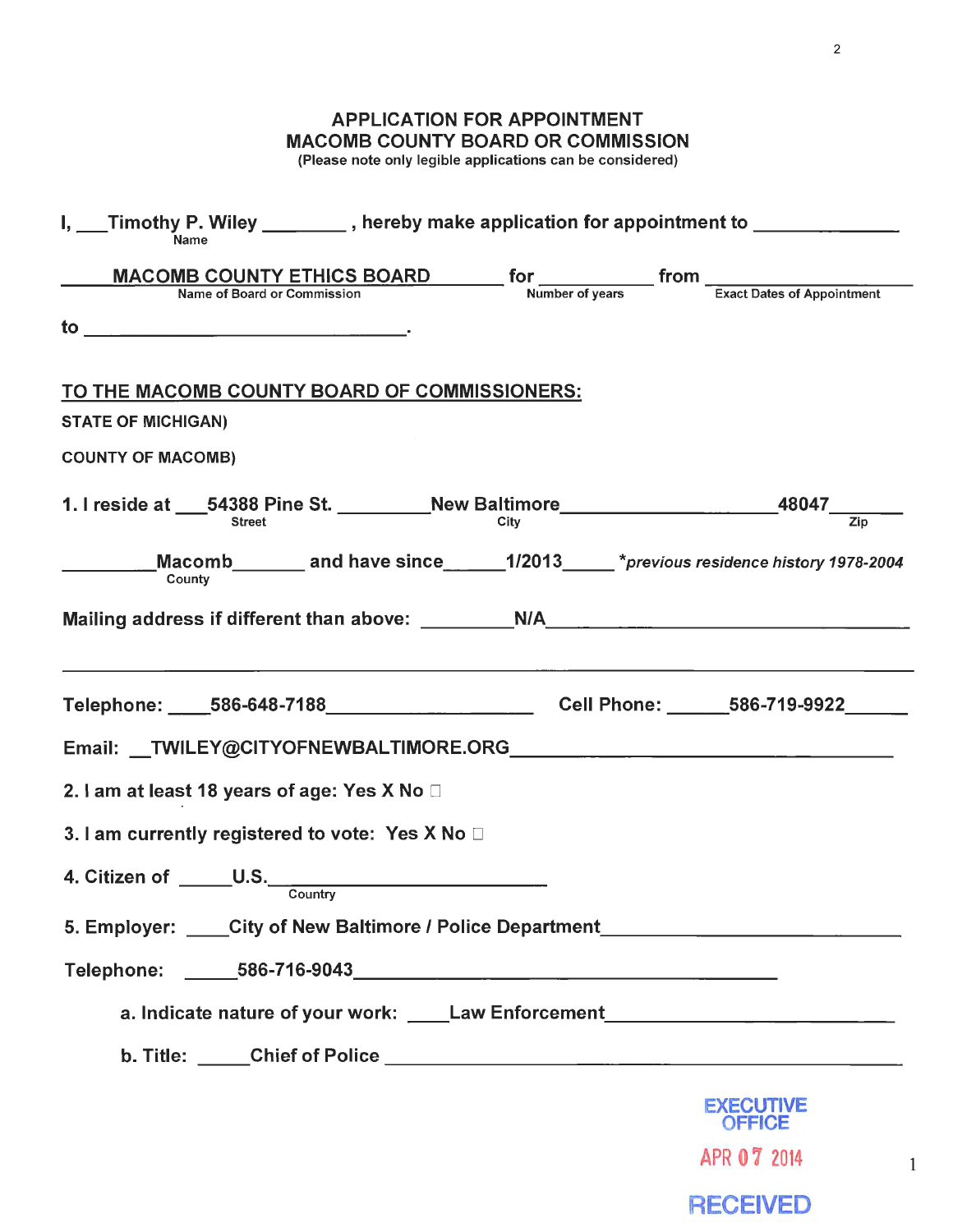## APPLICATION FOR APPOINTMENT MACOMB COUNTY BOARD OR COMMISSION

(Please note only legible applications can be considered)

| MACOMB COUNTY ETHICS BOARD for from From Translates of Appointment<br>TO THE MACOMB COUNTY BOARD OF COMMISSIONERS:<br><b>STATE OF MICHIGAN)</b><br><b>COUNTY OF MACOMB)</b><br>Macomb_________ and have since_______1/2013______*previous residence history 1978-2004<br>County<br>Telephone: ____586-648-7188________________________Cell Phone: ______586-719-9922_____<br>2. I am at least 18 years of age: Yes X No □<br>3. I am currently registered to vote: Yes X No $\Box$<br>4. Citizen of ______U.S.______<br>Country<br>5. Employer: City of New Baltimore / Police Department__________________________<br>a. Indicate nature of your work: _____Law Enforcement___________________________<br><b>EXECUTIVE</b><br><b>OFFICE</b> | I, ___Timothy P. Wiley ________, hereby make application for appointment to ___________ |
|----------------------------------------------------------------------------------------------------------------------------------------------------------------------------------------------------------------------------------------------------------------------------------------------------------------------------------------------------------------------------------------------------------------------------------------------------------------------------------------------------------------------------------------------------------------------------------------------------------------------------------------------------------------------------------------------------------------------------------------------|-----------------------------------------------------------------------------------------|
|                                                                                                                                                                                                                                                                                                                                                                                                                                                                                                                                                                                                                                                                                                                                              |                                                                                         |
|                                                                                                                                                                                                                                                                                                                                                                                                                                                                                                                                                                                                                                                                                                                                              |                                                                                         |
|                                                                                                                                                                                                                                                                                                                                                                                                                                                                                                                                                                                                                                                                                                                                              |                                                                                         |
|                                                                                                                                                                                                                                                                                                                                                                                                                                                                                                                                                                                                                                                                                                                                              |                                                                                         |
|                                                                                                                                                                                                                                                                                                                                                                                                                                                                                                                                                                                                                                                                                                                                              |                                                                                         |
|                                                                                                                                                                                                                                                                                                                                                                                                                                                                                                                                                                                                                                                                                                                                              |                                                                                         |
|                                                                                                                                                                                                                                                                                                                                                                                                                                                                                                                                                                                                                                                                                                                                              |                                                                                         |
|                                                                                                                                                                                                                                                                                                                                                                                                                                                                                                                                                                                                                                                                                                                                              |                                                                                         |
|                                                                                                                                                                                                                                                                                                                                                                                                                                                                                                                                                                                                                                                                                                                                              |                                                                                         |
|                                                                                                                                                                                                                                                                                                                                                                                                                                                                                                                                                                                                                                                                                                                                              |                                                                                         |
|                                                                                                                                                                                                                                                                                                                                                                                                                                                                                                                                                                                                                                                                                                                                              |                                                                                         |
|                                                                                                                                                                                                                                                                                                                                                                                                                                                                                                                                                                                                                                                                                                                                              |                                                                                         |
|                                                                                                                                                                                                                                                                                                                                                                                                                                                                                                                                                                                                                                                                                                                                              |                                                                                         |
|                                                                                                                                                                                                                                                                                                                                                                                                                                                                                                                                                                                                                                                                                                                                              |                                                                                         |
|                                                                                                                                                                                                                                                                                                                                                                                                                                                                                                                                                                                                                                                                                                                                              |                                                                                         |
|                                                                                                                                                                                                                                                                                                                                                                                                                                                                                                                                                                                                                                                                                                                                              |                                                                                         |
|                                                                                                                                                                                                                                                                                                                                                                                                                                                                                                                                                                                                                                                                                                                                              |                                                                                         |
|                                                                                                                                                                                                                                                                                                                                                                                                                                                                                                                                                                                                                                                                                                                                              |                                                                                         |
|                                                                                                                                                                                                                                                                                                                                                                                                                                                                                                                                                                                                                                                                                                                                              |                                                                                         |
| APR 07 2014                                                                                                                                                                                                                                                                                                                                                                                                                                                                                                                                                                                                                                                                                                                                  |                                                                                         |

**RECEIVED**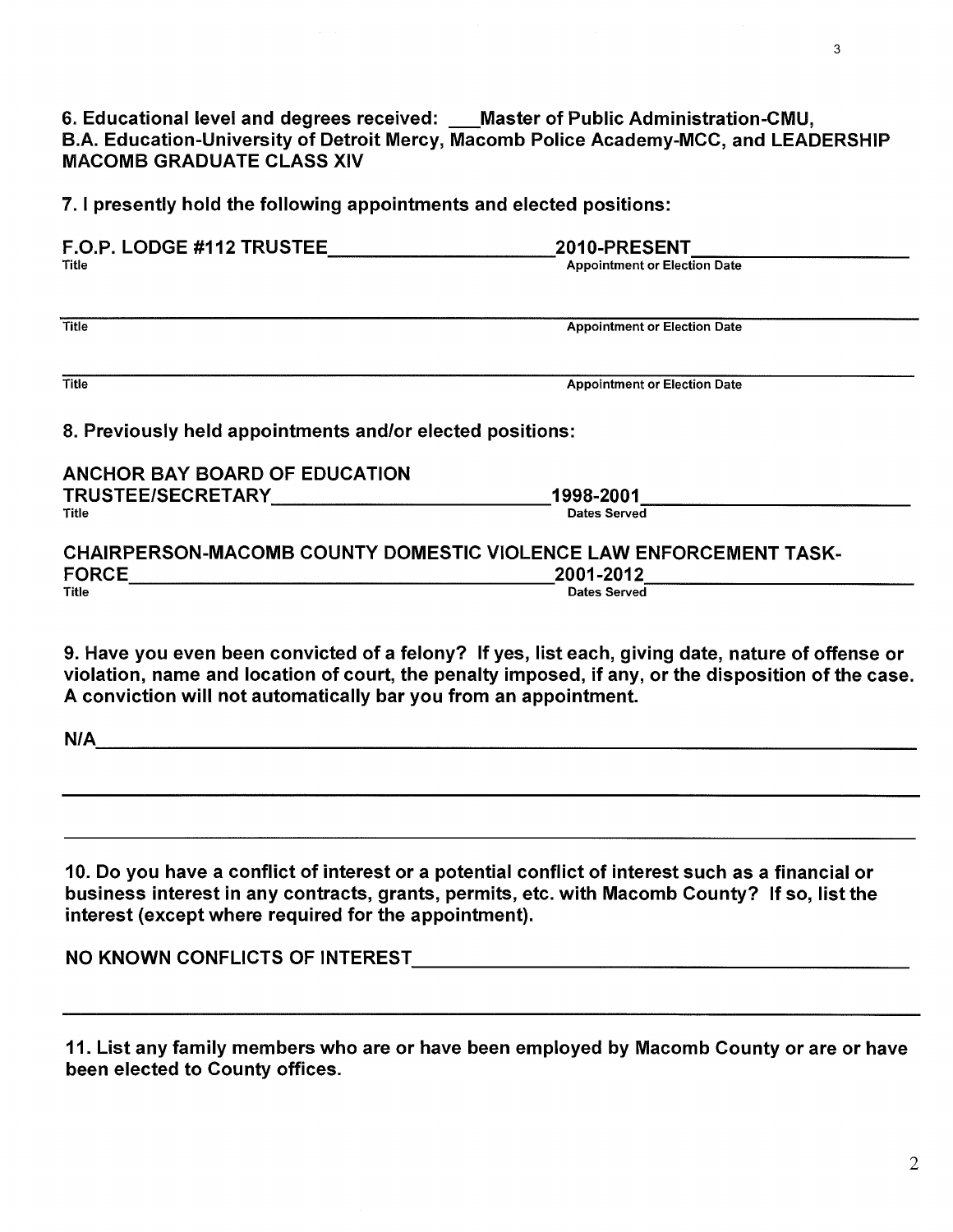6. Educational level and degrees received: \_\_\_Master of Public Administration-CMU, B.A. Education-University of Detroit Mercy, Macomb Police Academy-MCC, and LEADERSHIP MACOMB GRADUATE CLASS XIV

7. I presently hold the following appointments and elected positions:

| F.O.P. LODGE #112 TRUSTEE                                                 | 2010-PRESENT                        |
|---------------------------------------------------------------------------|-------------------------------------|
| Title                                                                     | <b>Appointment or Election Date</b> |
| <b>Title</b>                                                              | <b>Appointment or Election Date</b> |
| <b>Title</b>                                                              | <b>Appointment or Election Date</b> |
|                                                                           |                                     |
|                                                                           |                                     |
| <b>ANCHOR BAY BOARD OF EDUCATION</b>                                      |                                     |
| TRUSTEE/SECRETARY                                                         | 1998-2001                           |
| <b>Title</b>                                                              | Dates Served                        |
| CHAIRPERSON-MACOMB COUNTY DOMESTIC VIOLENCE LAW ENFORCEMENT TASK-         |                                     |
| 8. Previously held appointments and/or elected positions:<br><b>FORCE</b> | 2001-2012                           |

9. Have you even been convicted of a felony? If yes, list each, giving date, nature of offense or violation, name and location of court, the penalty imposed, if any, or the disposition of the case. A conviction will not automatically bar you from an appointment.

| N/A |  | - - |  |
|-----|--|-----|--|
|     |  |     |  |
|     |  |     |  |

10. Do you have a conflict of interest or a potential conflict of interest such as a financial or business interest in any contracts, grants, permits, etc. with Macomb County? If so, list the interest (except where required for the appointment).

NO KNOWN CONFLICTS OF INTEREST **with a set of the contract of the contract of the contract of the contract of the contract of the contract of the contract of the contract of the contract of the contract of the contract of** 

11. List any family members who are or have been employed by Macomb County or are or have been elected to County offices.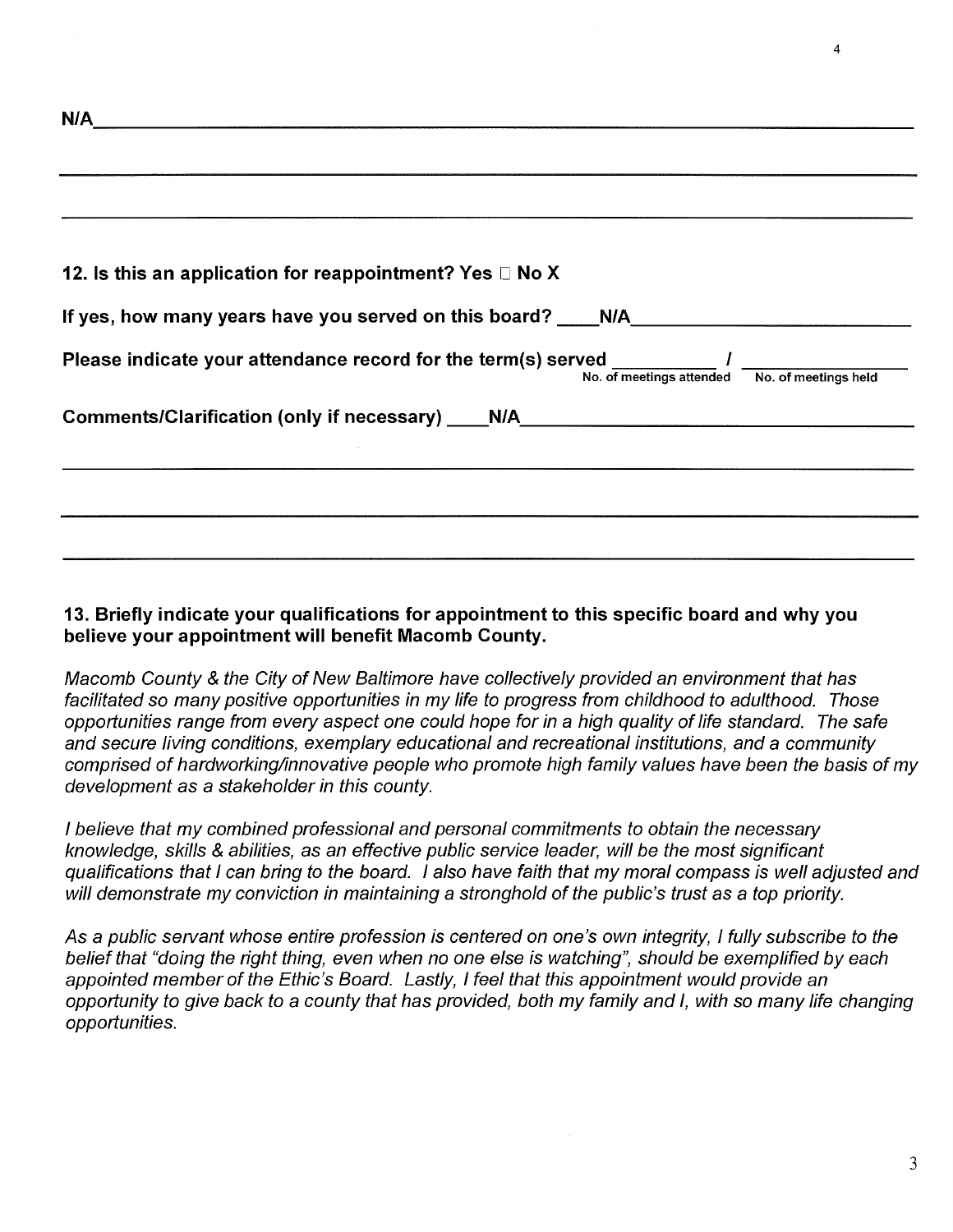| N/A                                                                                                                         |
|-----------------------------------------------------------------------------------------------------------------------------|
|                                                                                                                             |
| 12. Is this an application for reappointment? Yes $\Box$ No X                                                               |
| If yes, how many years have you served on this board? ____N/A____________________                                           |
| Please indicate your attendance record for the term(s) served __________ /<br>No. of meetings attended No. of meetings held |
| Comments/Clarification (only if necessary) ____N/A______________________________                                            |
|                                                                                                                             |
|                                                                                                                             |
|                                                                                                                             |

#### 13. Briefly indicate your qualifications for appointment to this specific board and why you believe your appointment will benefit Macomb County.

Macomb County & the City of New Baltimore have collectively provided an environment that has facilitated so many positive opportunities in my life to progress from childhood to adulthood. Those opportunities range from every aspect one could hope for in a high quality of life standard. The safe and secure living conditions, exemplary educational and recreational institutions, and a community comprised of hardworking/innovative people who promote high family values have been the basis of my development as a stakeholder in this county.

I believe that my combined professional and personal commitments to obtain the necessary knowledge, skills & abilities, as an effective public service leader, will be the most significant qualifications that I can bring to the board. I also have faith that my moral compass is well adjusted and will demonstrate my conviction in maintaining a stronghold of the public's trust as a top priority.

As a public servant whose entire profession is centered on one's own integrity, I fully subscribe to the belief that "doing the right thing, even when no one else is watching", should be exemplified by each appointed member of the Ethic's Board. Lastly, I feel that this appointment would provide an opportunity to give back to a county that has provided, both my family and I, with so many life changing opportunities.

4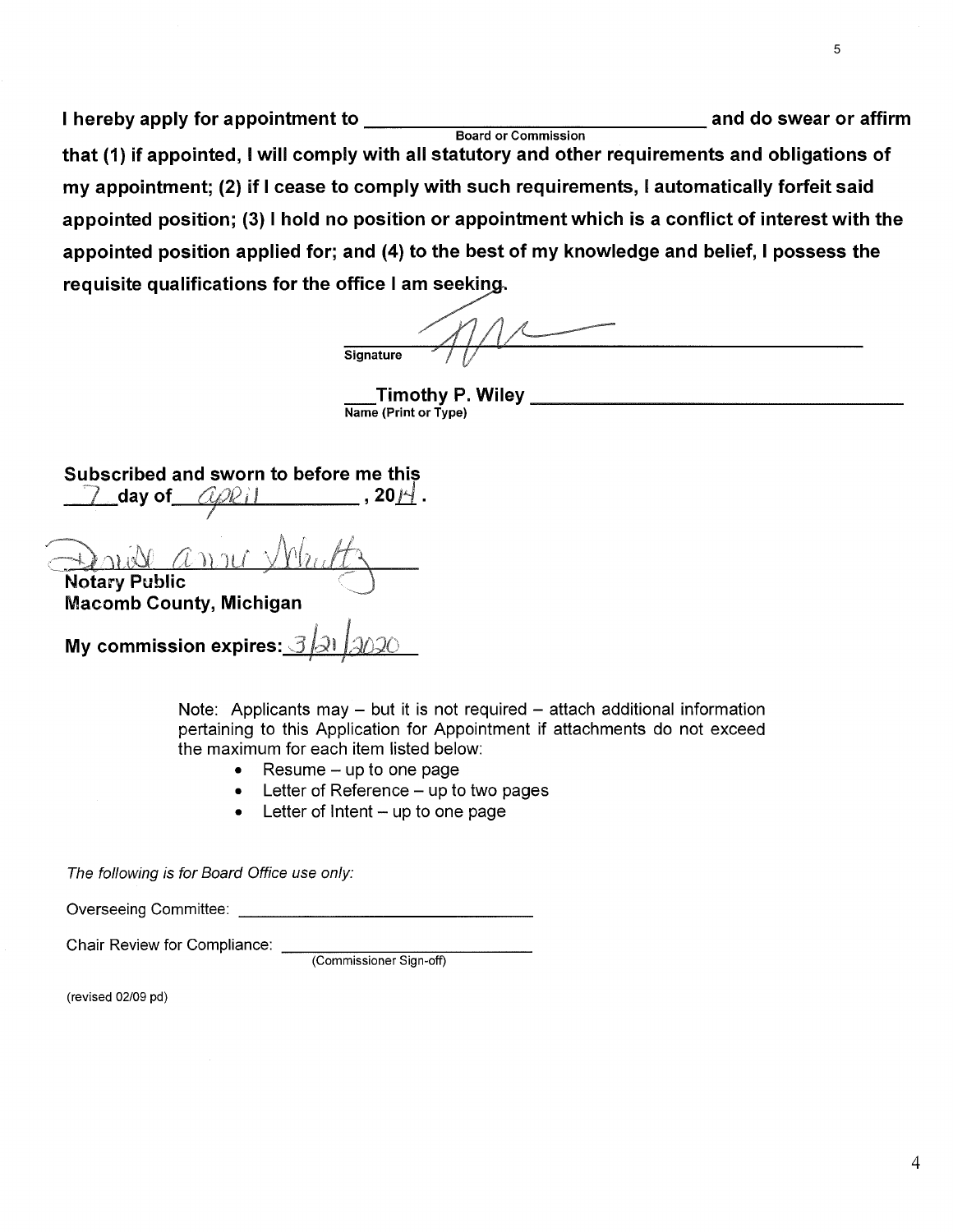I hereby apply for appointment to---------------and do swear or affirm Board or Commission that (1) if appointed, I will comply with all statutory and other requirements and obligations of my appointment; (2} if I cease to comply with such requirements, I automatically forfeit said appointed position; (3) I hold no position or appointment which is a conflict of interest with the<br>appointed position applied for; and (4) to the best of my knowledge and belief, I possess the<br>requisite qualifications for appointed position applied for; and (4} to the best of my knowledge and belief, I possess the

**Signature** 

**Timothy P. Wiley**  $\frac{1}{\text{Name (Print or Type)}}$ 

Subscribed and sworn to before me this 7 day of t1t?l2i I , 20.d\_. <sup>I</sup> Notary Public Macomb County, Michigan **My commission expires: 3** 

Note: Applicants may  $-$  but it is not required  $-$  attach additional information pertaining to this Application for Appointment if attachments do not exceed the maximum for each item listed below:

- $\bullet$  Resume up to one page
- $\bullet$  Letter of Reference  $-$  up to two pages
- $\bullet$  Letter of Intent up to one page

The following is for Board Office use only:

Overseeing Committee:  $\blacksquare$ 

Chair Review for Compliance:

(Commissioner Sign-off)

(revised 02/09 pd)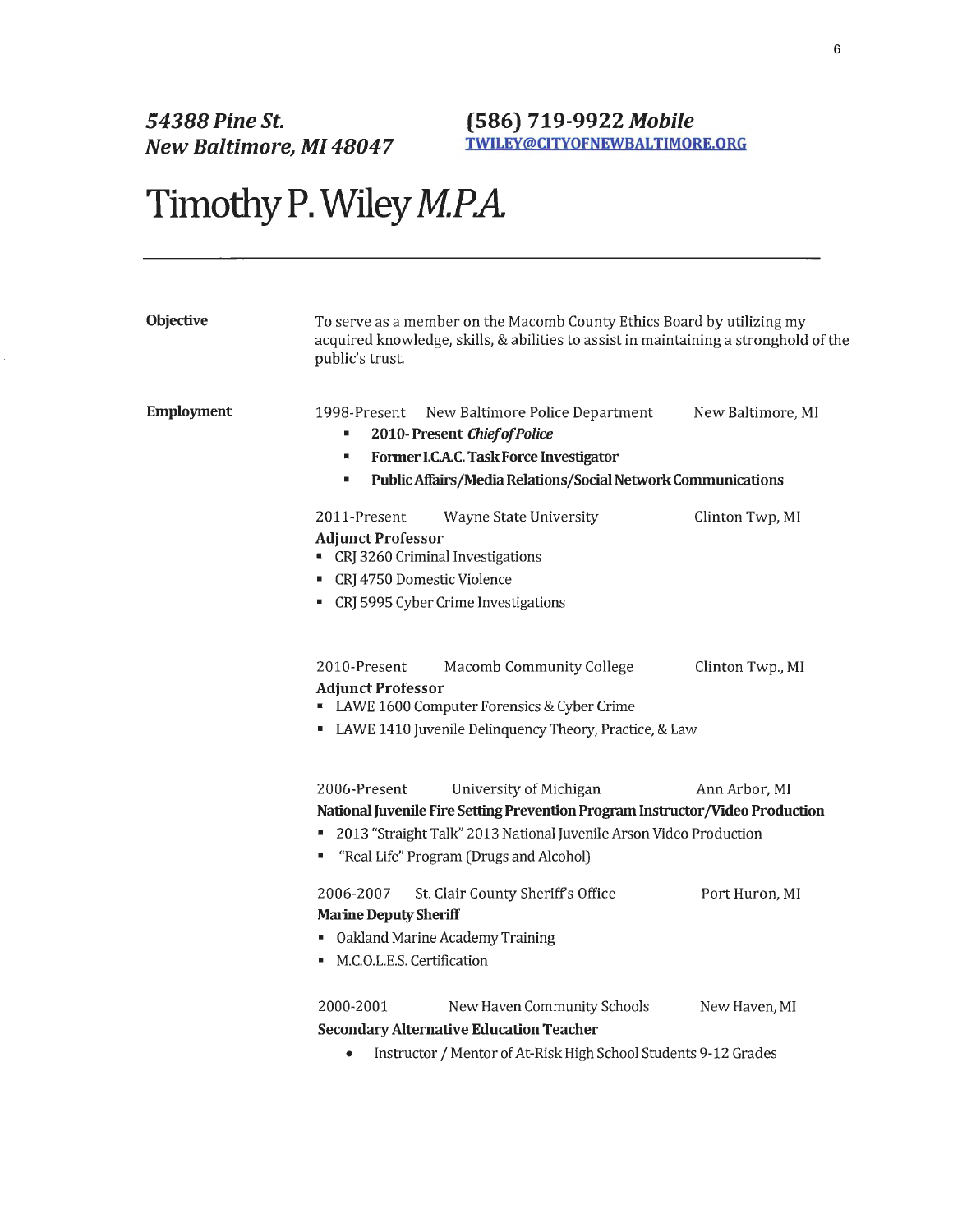#### **(586) 719-9922 Mobile TWILEY@CITYOFNEWBAL TIMORE.ORG**

# Timothy P. Wiley *M.P.A.*

| <b>Objective</b>  | To serve as a member on the Macomb County Ethics Board by utilizing my<br>acquired knowledge, skills, & abilities to assist in maintaining a stronghold of the<br>public's trust.                                                            |                   |
|-------------------|----------------------------------------------------------------------------------------------------------------------------------------------------------------------------------------------------------------------------------------------|-------------------|
| <b>Employment</b> | 1998-Present<br>New Baltimore Police Department<br>2010-Present Chief of Police<br>٠                                                                                                                                                         | New Baltimore, MI |
|                   | Former I.C.A.C. Task Force Investigator<br>ш<br>Public Affairs/Media Relations/Social Network Communications<br>٠                                                                                                                            |                   |
|                   |                                                                                                                                                                                                                                              |                   |
|                   | Wayne State University<br>2011-Present<br><b>Adjunct Professor</b><br>CRJ 3260 Criminal Investigations<br>CRJ 4750 Domestic Violence<br>• CRJ 5995 Cyber Crime Investigations                                                                | Clinton Twp, MI   |
|                   | 2010-Present<br>Macomb Community College<br><b>Adjunct Professor</b><br>LAWE 1600 Computer Forensics & Cyber Crime<br>LAWE 1410 Juvenile Delinquency Theory, Practice, & Law                                                                 | Clinton Twp., MI  |
|                   |                                                                                                                                                                                                                                              |                   |
|                   | 2006-Present<br>University of Michigan<br>National Juvenile Fire Setting Prevention Program Instructor/Video Production<br>" 2013 "Straight Talk" 2013 National Juvenile Arson Video Production<br>" "Real Life" Program (Drugs and Alcohol) | Ann Arbor, MI     |
|                   | 2006-2007<br>St. Clair County Sheriff's Office<br><b>Marine Deputy Sheriff</b><br>• Oakland Marine Academy Training<br>M.C.O.L.E.S. Certification                                                                                            | Port Huron, MI    |
|                   | 2000-2001<br>New Haven Community Schools<br><b>Secondary Alternative Education Teacher</b>                                                                                                                                                   | New Haven, MI     |
|                   | Instructor / Mentor of At-Risk High School Students 9-12 Grades                                                                                                                                                                              |                   |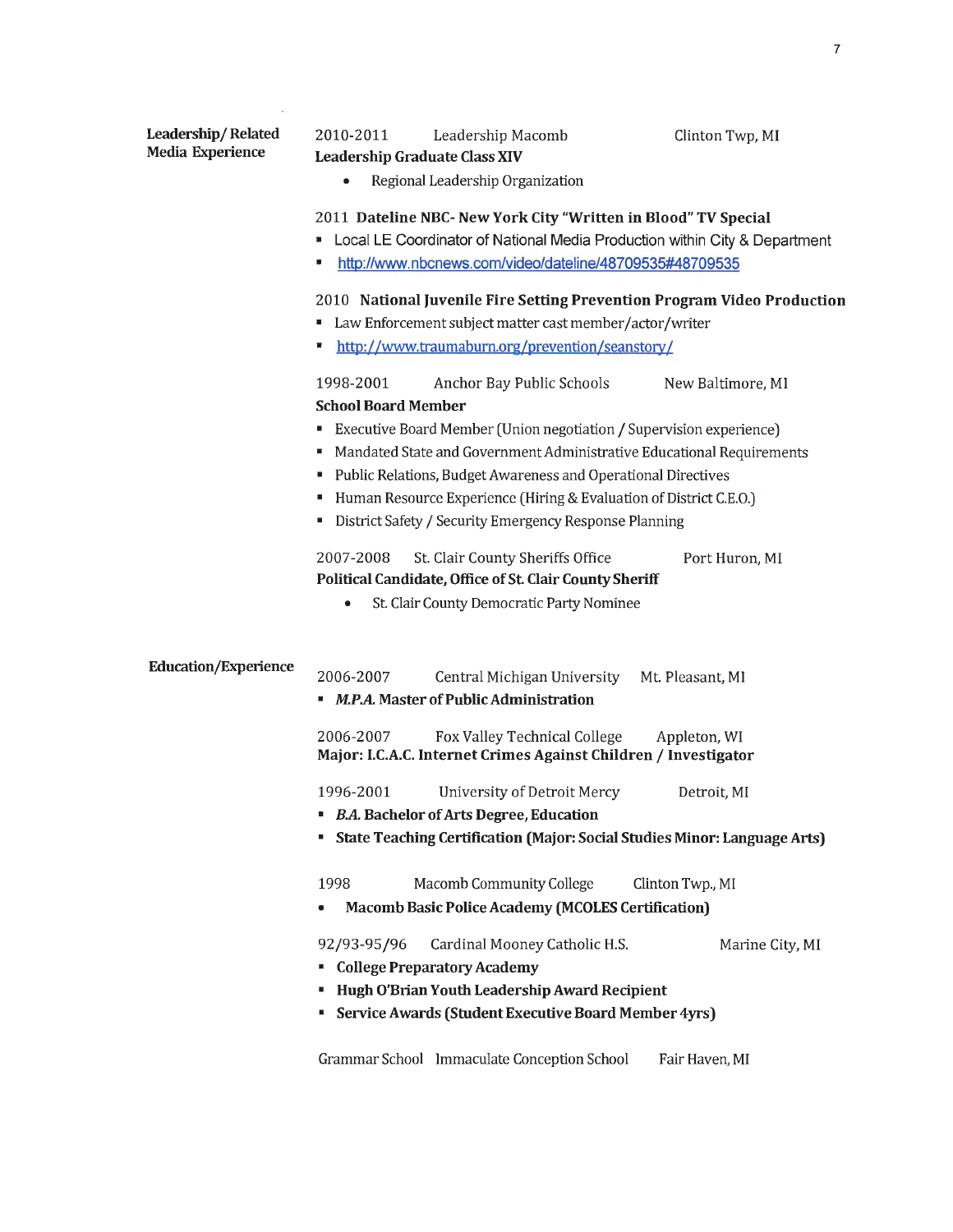| Leadership/Related          |                                                                                                                                                                                                                                                                                                                                                                   |
|-----------------------------|-------------------------------------------------------------------------------------------------------------------------------------------------------------------------------------------------------------------------------------------------------------------------------------------------------------------------------------------------------------------|
| <b>Media Experience</b>     | 2010-2011<br>Leadership Macomb<br>Clinton Twp, MI<br><b>Leadership Graduate Class XIV</b>                                                                                                                                                                                                                                                                         |
|                             | Regional Leadership Organization<br>٠                                                                                                                                                                                                                                                                                                                             |
|                             | 2011 Dateline NBC- New York City "Written in Blood" TV Special<br>Local LE Coordinator of National Media Production within City & Department<br>http://www.nbcnews.com/video/dateline/48709535#48709535                                                                                                                                                           |
|                             | 2010 National Juvenile Fire Setting Prevention Program Video Production<br>• Law Enforcement subject matter cast member/actor/writer<br>http://www.traumaburn.org/prevention/seanstory/                                                                                                                                                                           |
|                             | 1998-2001<br>Anchor Bay Public Schools<br>New Baltimore, MI<br><b>School Board Member</b>                                                                                                                                                                                                                                                                         |
|                             | Executive Board Member (Union negotiation / Supervision experience)<br>ш<br>Mandated State and Government Administrative Educational Requirements<br>ш<br>Public Relations, Budget Awareness and Operational Directives<br>Human Resource Experience (Hiring & Evaluation of District C.E.O.)<br>ш<br>District Safety / Security Emergency Response Planning<br>ш |
|                             | 2007-2008<br>St. Clair County Sheriffs Office<br>Port Huron, MI<br>Political Candidate, Office of St. Clair County Sheriff<br>St. Clair County Democratic Party Nominee<br>۰                                                                                                                                                                                      |
| <b>Education/Experience</b> | 2006-2007<br>Central Michigan University<br>Mt. Pleasant, MI<br>" M.P.A. Master of Public Administration                                                                                                                                                                                                                                                          |
|                             | 2006-2007<br>Fox Valley Technical College<br>Appleton, WI<br>Major: I.C.A.C. Internet Crimes Against Children / Investigator                                                                                                                                                                                                                                      |
|                             | 1996-2001<br>University of Detroit Mercy<br>Detroit, MI<br><b>B.A. Bachelor of Arts Degree, Education</b>                                                                                                                                                                                                                                                         |
|                             | State Teaching Certification (Major: Social Studies Minor: Language Arts)                                                                                                                                                                                                                                                                                         |
|                             | 1998<br>Macomb Community College<br>Clinton Twp., MI<br><b>Macomb Basic Police Academy (MCOLES Certification)</b>                                                                                                                                                                                                                                                 |
|                             | 92/93-95/96<br>Cardinal Mooney Catholic H.S.<br>Marine City, MI<br><b>College Preparatory Academy</b><br>Hugh O'Brian Youth Leadership Award Recipient<br>Service Awards (Student Executive Board Member 4yrs)<br>в                                                                                                                                               |

Grammar School Immaculate Conception School Fair Haven, MI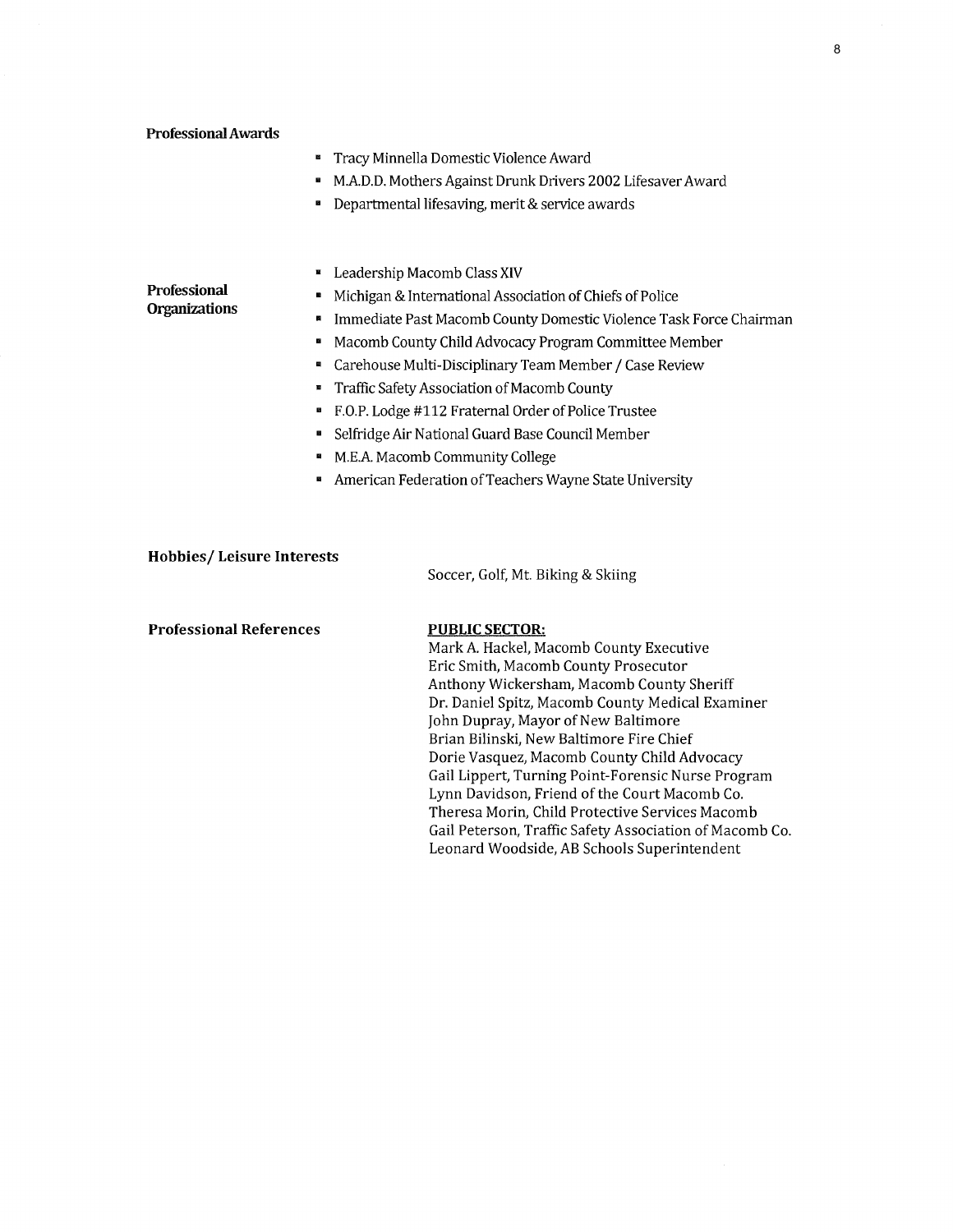|                           | Tracy Minnella Domestic Violence Award<br>в                             |
|---------------------------|-------------------------------------------------------------------------|
|                           | M.A.D.D. Mothers Against Drunk Drivers 2002 Lifesaver Award<br>в        |
|                           | Departmental lifesaving, merit & service awards                         |
|                           |                                                                         |
|                           | Leadership Macomb Class XIV                                             |
| <b>Professional</b>       | Michigan & International Association of Chiefs of Police<br>в           |
| <b>Organizations</b>      | Immediate Past Macomb County Domestic Violence Task Force Chairman<br>п |
|                           | Macomb County Child Advocacy Program Committee Member<br>в              |
|                           | Carehouse Multi-Disciplinary Team Member / Case Review<br>в             |
|                           | Traffic Safety Association of Macomb County<br>в                        |
|                           | F.O.P. Lodge #112 Fraternal Order of Police Trustee                     |
|                           | Selfridge Air National Guard Base Council Member                        |
|                           | M.E.A. Macomb Community College                                         |
|                           | American Federation of Teachers Wayne State University                  |
|                           |                                                                         |
|                           |                                                                         |
| Hobbies/Leisure Interests |                                                                         |

Soccer, Golf, Mt. Biking & Skiing

#### **PUBLIC SECTOR:**

Mark A. Hackel, Macomb County Executive Eric Smith, Macomb County Prosecutor Anthony Wickersham, Macomb County Sheriff Dr. Daniel Spitz, Macomb County Medical Examiner John Dupray, Mayor of New Baltimore Brian Bilinski, New Baltimore Fire Chief Dorie Vasquez, Macomb County Child Advocacy Gail Lippert, Turning Point-Forensic Nurse Program Lynn Davidson, Friend of the Court Macomb Co. Theresa Morin, Child Protective Services Macomb Gail Peterson, Traffic Safety Association of Macomb Co. Leonard Woodside, AB Schools Superintendent